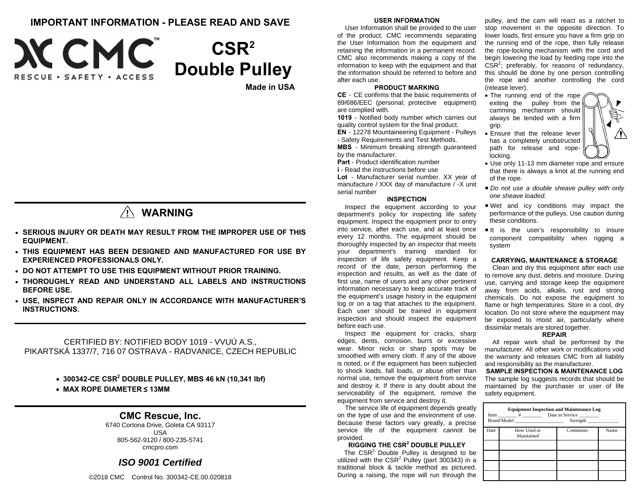## **IMPORTANT INFORMATION - PLEASE READ AND SAVE**



# **CSR2 Double Pulley**

**Made in USA** 

# **WARNING**

- **SERIOUS INJURY OR DEATH MAY RESULT FROM THE IMPROPER USE OF THIS EQUIPMENT.**
- **THIS EQUIPMENT HAS BEEN DESIGNED AND MANUFACTURED FOR USE BY EXPERIENCED PROFESSIONALS ONLY.**
- **DO NOT ATTEMPT TO USE THIS EQUIPMENT WITHOUT PRIOR TRAINING.**
- **THOROUGHLY READ AND UNDERSTAND ALL LABELS AND INSTRUCTIONS BEFORE USE.**
- **USE, INSPECT AND REPAIR ONLY IN ACCORDANCE WITH MANUFACTURER'S INSTRUCTIONS.**

CERTIFIED BY: NOTIFIED BODY 1019 - VVUÚ A.S., PIKARTSKÁ 1337/7, 716 07 OSTRAVA - RADVANICE, CZECH REPUBLIC

- **300342-CE CSR2 DOUBLE PULLEY, MBS 46 kN (10,341 lbf)**
- **MAX ROPE DIAMETER ≤ 13MM**

### **CMC Rescue, Inc.**

6740 Cortona Drive, Goleta CA 93117 USA 805-562-9120 / 800-235-5741 cmcpro.com

### *ISO 9001 Certified*

©2018 CMC Control No. 300342-CE.00.020818

### **USER INFORMATION**

User Information shall be provided to the user of the product. CMC recommends separating the User Information from the equipment and retaining the information in a permanent record. CMC also recommends making a copy of the information to keep with the equipment and that the information should be referred to before and after each use.

### **PRODUCT MARKING**

**CE** - CE confirms that the basic requirements of 89/686/EEC (personal; protective equipment) are complied with.

**1019** - Notified body number which carries out quality control system for the final product.

**EN** - 12278 Mountaineering Equipment - Pulleys - Safety Requirements and Test Methods.

**MBS** - Minimum breaking strength guaranteed by the manufacturer.

**Part** - Product identification number **i** - Read the instructions before use

**Lot** - Manufacturer serial number. XX year of manufacture / XXX day of manufacture / -X unit serial number

### **INSPECTION**

Inspect the equipment according to your department's policy for inspecting life safety equipment. Inspect the equipment prior to entry into service, after each use, and at least once every 12 months. The equipment should be thoroughly inspected by an inspector that meets your department's training standard for inspection of life safety equipment. Keep a record of the date, person performing the inspection and results, as well as the date of first use, name of users and any other pertinent information necessary to keep accurate track of the equipment's usage history in the equipment log or on a tag that attaches to the equipment. Each user should be trained in equipment inspection and should inspect the equipment before each use.

Inspect the equipment for cracks, sharp edges, dents, corrosion, burrs or excessive wear. Minor nicks or sharp spots may be smoothed with emery cloth. If any of the above is noted, or if the equipment has been subjected to shock loads, fall loads, or abuse other than normal use, remove the equipment from service and destroy it. If there is any doubt about the serviceability of the equipment, remove the equipment from service and destroy it.

The service life of equipment depends greatly on the type of use and the environment of use. Because these factors vary greatly, a precise service life of the equipment cannot be provided.

### **RIGGING THE CSR2 DOUBLE PULLEY**

The  $CSR<sup>2</sup>$  Double Pulley is designed to be utilized with the  $CSR<sup>2</sup>$  Pulley (part 300343) in a traditional block & tackle method as pictured. During a raising, the rope will run through the

pulley, and the cam will react as a ratchet to stop movement in the opposite direction. To lower loads, first ensure you have a firm grip on the running end of the rope, then fully release the rope-locking mechanism with the cord and begin lowering the load by feeding rope into the  $CSR<sup>2</sup>$ ; preferably, for reasons of redundancy, this should be done by one person controlling the rope and another controlling the cord (release lever).

- The running end of the rope exiting the pulley from the camming mechanism should always be tended with a firm grip.
- Ensure that the release lever has a completely unobstructed path for release and ropelocking.
- Use only 11-13 mm diameter rope and ensure that there is always a knot at the running end of the rope.
- *Do not use a double sheave pulley with only one sheave loaded.*
- Wet and icy conditions may impact the performance of the pulleys. Use caution during these conditions.
- $\bullet$  It is the user's responsibility to insure component compatibility when rigging a system

### **CARRYING, MAINTENANCE & STORAGE**

Clean and dry this equipment after each use to remove any dust, debris and moisture. During use, carrying and storage keep the equipment away from acids, alkalis, rust and strong chemicals. Do not expose the equipment to flame or high temperatures. Store in a cool, dry location. Do not store where the equipment may be exposed to moist air, particularly where dissimilar metals are stored together.

### **REPAIR**

All repair work shall be performed by the manufacturer. All other work or modifications void the warranty and releases CMC from all liability and responsibility as the manufacturer.

**SAMPLE INSPECTION & MAINTENANCE LOG**  The sample log suggests records that should be maintained by the purchaser or user of life safety equipment.

| <b>Equipment Inspection and Maintenance Log</b><br>Item # Date in Service<br>Brand/Model<br>Strength |                           |          |      |  |  |  |
|------------------------------------------------------------------------------------------------------|---------------------------|----------|------|--|--|--|
| Date                                                                                                 | How Used or<br>Maintained | Comments | Name |  |  |  |
|                                                                                                      |                           |          |      |  |  |  |
|                                                                                                      |                           |          |      |  |  |  |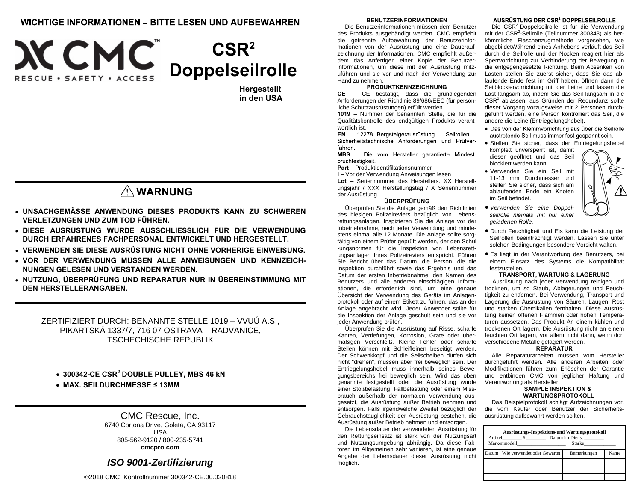### **WICHTIGE INFORMATIONEN - BITTE LESEN UND AUFBEWAHREN**



**Hergestellt in den USA** 

# **WARNUNG**

- **UNSACHGEMÄSSE ANWENDUNG DIESES PRODUKTS KANN ZU SCHWEREN VERLETZUNGEN UND ZUM TOD FÜHREN.**
- **DIESE AUSRÜSTUNG WURDE AUSSCHLIESSLICH FÜR DIE VERWENDUNG DURCH ERFAHRENES FACHPERSONAL ENTWICKELT UND HERGESTELLT.**
- **VERWENDEN SIE DIESE AUSRÜSTUNG NICHT OHNE VORHERIGE EINWEISUNG.**
- **VOR DER VERWENDUNG MÜSSEN ALLE ANWEISUNGEN UND KENNZEICH-NUNGEN GELESEN UND VERSTANDEN WERDEN.**
- **NUTZUNG, ÜBERPRÜFUNG UND REPARATUR NUR IN ÜBEREINSTIMMUNG MIT DEN HERSTELLERANGABEN.**

ZERTIFIZIERT DURCH: BENANNTE STELLE 1019 – VVUÚ A.S., PIKARTSKÁ 1337/7, 716 07 OSTRAVA – RADVANICE, TSCHECHISCHE REPUBLIK

- **300342-CE CSR2 DOUBLE PULLEY, MBS 46 kN**
- **MAX. SEILDURCHMESSE ≤ 13MM**

### CMC Rescue, Inc. 6740 Cortona Drive, Goleta, CA 93117

USA 805-562-9120 / 800-235-5741 **cmcpro.com** 

## *ISO 9001-Zertifizierung*

©2018 CMC Kontrollnummer 300342-CE.00.020818

### **BENUTZERINFORMATIONEN**

Die Benutzerinformationen müssen dem Benutzer des Produkts ausgehändigt werden. CMC empfiehlt die getrennte Aufbewahrung der Benutzerinformationen von der Ausrüstung und eine Daueraufzeichnung der Informationen. CMC empfiehlt außerdem das Anfertigen einer Kopie der Benutzerinformationen, um diese mit der Ausrüstung mitzuführen und sie vor und nach der Verwendung zur Hand zu nehmen.

### **PRODUKTKENNZEICHNUNG**

 **CE** – CE bestätigt, dass die grundlegenden Anforderungen der Richtlinie 89/686/EEC (für persönliche Schutzausrüstungen) erfüllt werden.

**1019** – Nummer der benannten Stelle, die für die Qualitätskontrolle des endgültigen Produkts verantwortlich ist.

Sicherheitstechnische Anforderungen und Prüfverfahren.

MBS - Die vom Hersteller garantierte Mindestbruchfestigkeit.

**Part** – Produktidentifikationsnummer

**i** – Vor der Verwendung Anweisungen lesen **Lot** – Seriennummer des Herstellers. XX Herstellungsjahr / XXX Herstellungstag / X Seriennummer der Ausrüstung

### **ÜBERPRÜFUNG**

 Überprüfen Sie die Anlage gemäß den Richtlinien des hiesigen Polizeireviers bezüglich von Lebensrettungsanlagen. Inspizieren Sie die Anlage vor der Inbetriebnahme, nach jeder Verwendung und mindestens einmal alle 12 Monate. Die Anlage sollte sorgfältig von einem Prüfer geprüft werden, der den Schul -ungsnormen für die Inspektion von Lebensrettungsanlagen Ihres Polizeireviers entspricht. Führen Sie Bericht über das Datum, die Person, die die Inspektion durchführt sowie das Ergebnis und das Datum der ersten Inbetriebnahme, den Namen des Benutzers und alle anderen einschlägigen Informationen, die erforderlich sind, um eine genaue Übersicht der Verwendung des Geräts im Anlagenprotokoll oder auf einem Etikett zu führen, das an der Anlage angebracht wird. Jeder Anwender sollte für die Inspektion der Anlage geschult sein und sie vor jeder Anwendung prüfen.

Überprüfen Sie die Ausrüstung auf Risse, scharfe Kanten, Vertiefungen, Korrosion, Grate oder übermäßigen Verschleiß. Kleine Fehler oder scharfe Stellen können mit Schleifleinen beseitigt werden. Der Schwenkkopf und die Seilscheiben dürfen sich nicht "drehen", müssen aber frei beweglich sein. Der Entriegelungshebel muss innerhalb seines Bewegungsbereichs frei beweglich sein. Wird das oben genannte festgestellt oder die Ausrüstung wurde einer Stoßbelastung, Fallbelastung oder einem Missbrauch außerhalb der normalen Verwendung ausgesetzt, die Ausrüstung außer Betrieb nehmen und entsorgen. Falls irgendwelche Zweifel bezüglich der Gebrauchstauglichkeit der Ausrüstung bestehen, die Ausrüstung außer Betrieb nehmen und entsorgen.

Die Lebensdauer der verwendeten Ausrüstung für den Rettungseinsatz ist stark von der Nutzungsart und Nutzungsumgebung abhängig. Da diese Faktoren im Allgemeinen sehr variieren, ist eine genaue Angabe der Lebensdauer dieser Ausrüstung nicht möglich.

### AUSRÜSTUNG DER CSR<sup>2</sup> DOPPELSEILROLLE

Die CSR<sup>2</sup>-Doppelseilrolle ist für die Verwendung mit der CSR<sup>2</sup>-Seilrolle (Teilnummer 300343) als herkömmliche Flaschenzugmethode vorgesehen, wie abgebildetWährend eines Anhebens verläuft das Seil durch die Seilrolle und der Nocken reagiert hier als Sperrvorrichtung zur Verhinderung der Bewegung in die entgegengesetzte Richtung. Beim Absenken von Lasten stellen Sie zuerst sicher, dass Sie das ablaufende Ende fest im Griff haben, öffnen dann die Seilblockiervorrichtung mit der Leine und lassen die Last langsam ab, indem Sie das Seil langsam in die CSR<sup>2</sup> ablassen; aus Gründen der Redundanz sollte dieser Vorgang vorzugsweise mit 2 Personen durchgeführt werden, eine Person kontrolliert das Seil, die andere die Leine (Entriegelungshebel).

- · Das von der Klemmvorrichtung aus über die Seilrolle austretende Seil muss immer fest gespannt sein.
- Stellen Sie sicher, dass der Entriegelungshebel komplett unversperrt ist, damit dieser geöffnet und das Seil
- blockiert werden kann. Verwenden Sie ein Seil mit
- 11-13 mm Durchmesser und stellen Sie sicher, dass sich am ablaufenden Ende ein Knoten im Seil befindet.
- *Verwenden Sie eine Doppelseilrolle niemals mit nur einer geladenen Rolle.*
- Durch Feuchtigkeit und Eis kann die Leistung der Seilrollen beeinträchtigt werden. Lassen Sie unter solchen Bedingungen besondere Vorsicht walten.
- Es liegt in der Verantwortung des Benutzers, bei einem Einsatz des Systems die Kompatibilität festzustellen.

#### **TRANSPORT, WARTUNG & LAGERUNG**

Ausrüstung nach jeder Verwendung reinigen und trocknen, um so Staub, Ablagerungen und Feuchtigkeit zu entfernen. Bei Verwendung, Transport und Lagerung die Ausrüstung von Säuren, Laugen, Rost und starken Chemikalien fernhalten. Diese Ausrüstung keinen offenen Flammen oder hohen Temperaturen aussetzen. Das Produkt An einem kühlen und trockenen Ort lagern. Die Ausrüstung nicht an einem feuchten Ort lagern, vor allem nicht dann, wenn dort verschiedene Metalle gelagert werden.

#### **REPARATUR**

Alle Reparaturarbeiten müssen vom Hersteller durchgeführt werden. Alle anderen Arbeiten oder Modifikationen führen zum Erlöschen der Garantie und entbinden CMC von jeglicher Haftung und Verantwortung als Hersteller.

#### **SAMPLE INSPEKTION & WARTUNGSPROTOKOLL**

Das Beispielprotokoll schlägt Aufzeichnungen vor, die vom Käufer oder Benutzer der Sicherheitsausrüstung aufbewahrt werden sollten.

| <b>Ausrüstungs-Inspektions-und Wartungsprotokoll</b><br>Datum im Dienst<br>Artikel #<br>Markenmodell<br>Stärke |                                   |             |      |  |  |  |
|----------------------------------------------------------------------------------------------------------------|-----------------------------------|-------------|------|--|--|--|
|                                                                                                                | Datum Wie verwendet oder Gewartet | Bemerkungen | Name |  |  |  |
|                                                                                                                |                                   |             |      |  |  |  |
|                                                                                                                |                                   |             |      |  |  |  |
|                                                                                                                |                                   |             |      |  |  |  |

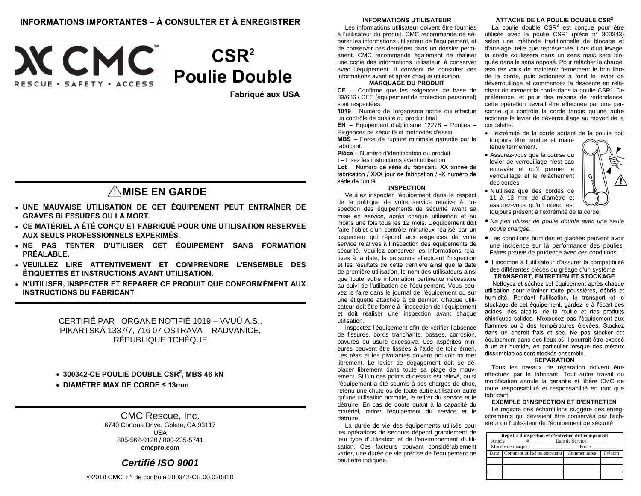# INFORMATIONS IMPORTANTES - À CONSULTER ET À ENREGISTRER





**Fabriqué aux USA** 

# **MISE EN GARDE**

- **UNE MAUVAISE UTILISATION DE CET ÉQUIPEMENT PEUT ENTRAÎNER DE GRAVES BLESSURES OU LA MORT.**
- **CE MATÉRIEL A ÉTÉ CONÇU ET FABRIQUÉ POUR UNE UTILISATION RESERVEE AUX SEULS PROFESSIONNELS EXPERIMÉS.**
- **NE PAS TENTER D'UTILISER CET ÉQUIPEMENT SANS FORMATION PRÉALABLE.**
- **VEUILLEZ LIRE ATTENTIVEMENT ET COMPRENDRE L'ENSEMBLE DES ÉTIQUETTES ET INSTRUCTIONS AVANT UTILISATION.**
- **N'UTILISER, INSPECTER ET REPARER CE PRODUIT QUE CONFORMÉMENT AUX INSTRUCTIONS DU FABRICANT**

CERTIFIÉ PAR : ORGANE NOTIFIÉ 1019 – VVUÚ A.S., PIKARTSKÁ 1337/7, 716 07 OSTRAVA – RADVANICE, RÉPUBLIQUE TCHÈQUE

- **300342-CE POULIE DOUBLE CSR2, MBS 46 kN**
- **DIAMÈTRE MAX DE CORDE ≤ 13mm**

### CMC Rescue, Inc. 6740 Cortona Drive, Goleta, CA 93117 USA

805-562-9120 / 800-235-5741 **cmcpro.com** 

### *Certifié ISO 9001*

©2018 CMC n° de contrôle 300342-CE.00.020818

### **INFORMATIONS UTILISATEUR**

Les informations utilisateur doivent être fournies à l'utilisateur du produit. CMC recommande de séparer les informations utilisateur de l'équipement, et de conserver ces dernières dans un dossier permanent. CMC recommande également de réaliser une copie des informations utilisateur, à conserver avec l'équipement. Il convient de consulter ces informations avant et après chaque utilisation.

### **MARQUAGE DU PRODUIT**

**CE** – Confirme que les exigences de base de 89/686 / CEE (équipement de protection personnel) sont respectées.

**1019** – Numéro de l'organisme notifié qui effectue un contrôle de qualité du produit final.

**EN** – Équipement d'alpinisme 12278 – Poulies – Exigences de sécurité et méthodes d'essai.

**MBS** – Force de rupture minimale garantie par le fabricant. **Pièce** – Numéro d'identification du produit

**i** – Lisez les instructions avant utilisation

Lot - Numéro de série du fabricant. XX année de fabrication / XXX jour de fabrication / -X numéro de série de l'unité

### **INSPECTION**

Veuillez inspecter l'équipement dans le respect de la politique de votre service relative à l'inspection des équipements de sécurité avant sa mise en service, après chaque utilisation et au moins une fois tous les 12 mois. L'équipement doit faire l'objet d'un contrôle minutieux réalisé par un inspecteur qui répond aux exigences de votre service relatives à l'inspection des équipements de sécurité. Veuillez conserver les informations relatives à la date, la personne effectuant l'inspection et les résultats de cette dernière ainsi que la date de première utilisation, le nom des utilisateurs ainsi que toute autre information pertinente nécessaire au suivi de l'utilisation de l'équipement. Vous pouvez le faire dans le journal de l'équipement ou sur une étiquette attachée à ce dernier. Chaque utilisateur doit être formé à l'inspection de l'équipement et doit réaliser une inspection avant chaque utilisation.

Inspectez l'équipement afin de vérifier l'absence de fissures, bords tranchants, bosses, corrosion, bavures ou usure excessive. Les aspérités mineures peuvent être lissées à l'aide de toile émeri. Les réas et les pivotantes doivent pouvoir tourner librement. Le levier de dégagement doit se déplacer librement dans toute sa plage de mouvement. Si l'un des points ci-dessus est relevé, ou si l'équipement a été soumis à des charges de choc, retenu une chute ou de toute autre utilisation autre qu'une utilisation normale, le retirer du service et le détruire. En cas de doute quant à la capacité du matériel, retirer l'équipement du service et le détruire.

La durée de vie des équipements utilisés pour les opérations de secours dépend grandement de leur type d'utilisation et de l'environnement d'utilisation. Ces facteurs pouvant considérablement varier, une durée de vie précise de l'équipement ne peut être indiquée.

### **ATTACHE DE LA POULIE DOUBLE CSR<sup>2</sup>**

La poulie double  $CSR^2$  est conçue pour être utilisée avec la poulie  $CSR^2$  (pièce n° 300343) selon une méthode traditionnelle de blocage et d'attelage, telle que représentée. Lors d'un levage, la corde coulissera dans un sens mais sera bloquée dans le sens opposé. Pour relâcher la charge, assurez vous de maintenir fermement le brin libre de la corde, puis actionnez a fond le levier de déverrouillage et commencez la descente en relâchant doucement la corde dans la poulie  $CSR<sup>2</sup>$ . De préférence, et pour des raisons de redondance, cette opération devrait être effectuée par une personne qui contrôle la corde tandis qu'une autre actionne le levier de déverrouillage au moyen de la cordelette.

- L'extrémité de la corde sortant de la poulie doit toujours être tendue et maintenue fermement.
- Assurez-vous que la course du levier de verrouillage n'est pas entravée et qu'il permet le verrouillage et le relâchement des cordes.



- N'utilisez que des cordes de 11 à 13 mm de diamètre et assurez-vous qu'un nœud est toujours présent à l'extrémité de la corde.
- *Ne pas utiliser de poulie double avec une seule poulie chargée.*
- Les conditions humides et glacées peuvent avoir une incidence sur la performance des poulies. Faites preuve de prudence avec ces conditions.
- Il incombe à l'utilisateur d'assurer la compatibilité des différentes pièces du gréage d'un système **TRANSPORT, ENTRETIEN ET STOCKAGE**

Nettoyez et séchez cet équipement après chaque utilisation pour éliminer toute poussières, débris et humidité. Pendant l'utilisation, le transport et le stockage de cet équipement, gardez-le à l'écart des acides, des alcalis, de la rouille et des produits chimiques solides. N'exposez pas l'équipement aux flammes ou à des températures élevées. Stockez dans un endroit frais et sec. Ne pas stocker cet équipement dans des lieux où il pourrait être exposé à un air humide, en particulier lorsque des métaux dissemblables sont stockés ensemble.

### **RÉPARATION**

Tous les travaux de réparation doivent être effectués par le fabricant. Tout autre travail ou modification annule la garantie et libère CMC de toute responsabilité et responsabilité en tant que fabricant.

#### **EXEMPLE D'INSPECTION ET D'ENTRETIEN**

Le registre des échantillons suggère des enregistrements qui devraient être conservés par l'acheteur ou l'utilisateur de l'équipement de sécurité.

| Registre d'inspection et d'entretien de l'équipement<br>Date de Service<br>Article |                              |              |        |  |  |  |
|------------------------------------------------------------------------------------|------------------------------|--------------|--------|--|--|--|
|                                                                                    | Modèle de marque             | Force        |        |  |  |  |
| Date                                                                               | Comment utilisé ou entretenu | Commentaires | Prénom |  |  |  |
|                                                                                    |                              |              |        |  |  |  |
|                                                                                    |                              |              |        |  |  |  |
|                                                                                    |                              |              |        |  |  |  |